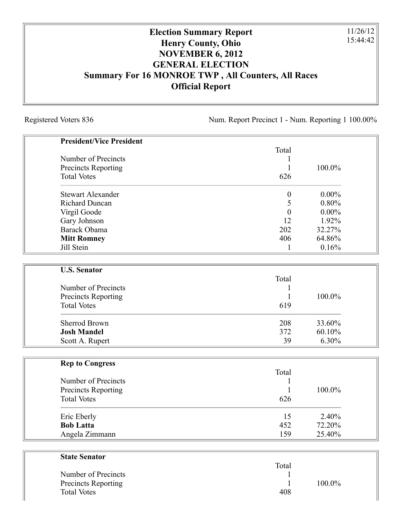## **Election Summary Report Henry County, Ohio NOVEMBER 6, 2012 GENERAL ELECTION Summary For 16 MONROE TWP , All Counters, All Races Official Report**

Registered Voters 836 Num. Report Precinct 1 - Num. Reporting 1 100.00%

11/26/12 15:44:42

| <b>President/Vice President</b> |                  |          |
|---------------------------------|------------------|----------|
|                                 | Total            |          |
| Number of Precincts             | 1                |          |
| Precincts Reporting             | $\mathbf{1}$     | 100.0%   |
| <b>Total Votes</b>              | 626              |          |
| <b>Stewart Alexander</b>        | $\boldsymbol{0}$ | $0.00\%$ |
| <b>Richard Duncan</b>           | 5                | 0.80%    |
| Virgil Goode                    | $\boldsymbol{0}$ | $0.00\%$ |
| Gary Johnson                    | 12               | 1.92%    |
| Barack Obama                    | 202              | 32.27%   |
| <b>Mitt Romney</b>              | 406              | 64.86%   |
| Jill Stein                      | $\mathbf{1}$     | 0.16%    |
|                                 |                  |          |
| <b>U.S. Senator</b>             | Total            |          |
| Number of Precincts             | 1                |          |
| <b>Precincts Reporting</b>      | 1                | 100.0%   |
| <b>Total Votes</b>              | 619              |          |
| <b>Sherrod Brown</b>            | 208              | 33.60%   |
| <b>Josh Mandel</b>              | 372              | 60.10%   |
| Scott A. Rupert                 | 39               | 6.30%    |
|                                 |                  |          |
| <b>Rep to Congress</b>          |                  |          |
|                                 | Total            |          |
| Number of Precincts             | 1                |          |
| Precincts Reporting             | $\mathbf{1}$     | 100.0%   |
| <b>Total Votes</b>              | 626              |          |
| Eric Eberly                     | 15               | 2.40%    |
| <b>Bob Latta</b>                | 452              | 72.20%   |
| Angela Zimmann                  | 159              | 25.40%   |
|                                 |                  |          |
| <b>State Senator</b>            | Total            |          |

| .   |           |
|-----|-----------|
|     |           |
|     | $100.0\%$ |
| 408 |           |
|     |           |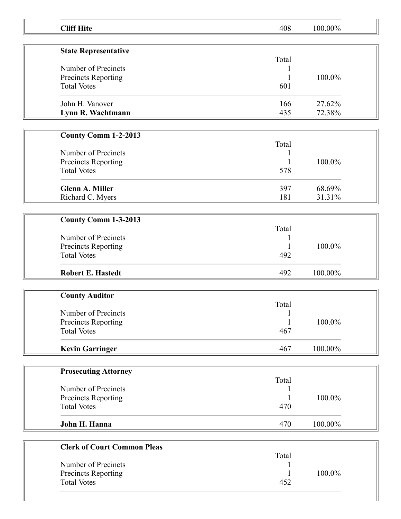| <b>Cliff Hite</b>                  | 408          | 100.00% |  |
|------------------------------------|--------------|---------|--|
|                                    |              |         |  |
| <b>State Representative</b>        | Total        |         |  |
| Number of Precincts                |              |         |  |
| Precincts Reporting                |              | 100.0%  |  |
| <b>Total Votes</b>                 | 601          |         |  |
| John H. Vanover                    | 166          | 27.62%  |  |
| Lynn R. Wachtmann                  | 435          | 72.38%  |  |
|                                    |              |         |  |
| <b>County Comm 1-2-2013</b>        | Total        |         |  |
| Number of Precincts                |              |         |  |
| Precincts Reporting                | 1            | 100.0%  |  |
| <b>Total Votes</b>                 | 578          |         |  |
| <b>Glenn A. Miller</b>             | 397          | 68.69%  |  |
| Richard C. Myers                   | 181          | 31.31%  |  |
|                                    |              |         |  |
| County Comm 1-3-2013               |              |         |  |
|                                    | Total        |         |  |
| Number of Precincts                |              |         |  |
| Precincts Reporting                |              | 100.0%  |  |
| <b>Total Votes</b>                 | 492          |         |  |
| <b>Robert E. Hastedt</b>           | 492          | 100.00% |  |
|                                    |              |         |  |
| <b>County Auditor</b>              | Total        |         |  |
| Number of Precincts                | $\mathbf{1}$ |         |  |
| Precincts Reporting                | 1            | 100.0%  |  |
| <b>Total Votes</b>                 | 467          |         |  |
|                                    |              |         |  |
| <b>Kevin Garringer</b>             | 467          | 100.00% |  |
|                                    |              |         |  |
| <b>Prosecuting Attorney</b>        | Total        |         |  |
| Number of Precincts                |              |         |  |
| Precincts Reporting                |              | 100.0%  |  |
| <b>Total Votes</b>                 | 470          |         |  |
|                                    |              |         |  |
| John H. Hanna                      | 470          | 100.00% |  |
| <b>Clerk of Court Common Pleas</b> |              |         |  |
|                                    | Total        |         |  |
| Number of Precincts                |              |         |  |
| Precincts Reporting                |              | 100.0%  |  |
| <b>Total Votes</b>                 | 452          |         |  |
|                                    |              |         |  |
|                                    |              |         |  |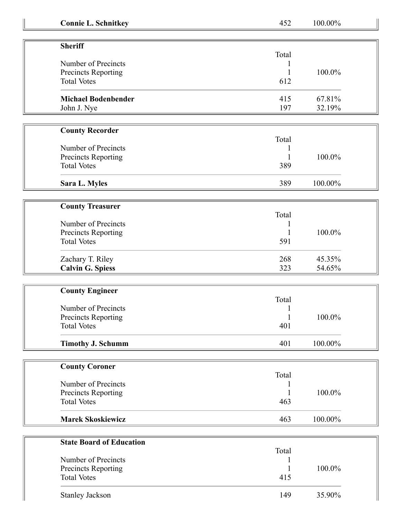| <b>Connie L. Schnitkey</b>                | 452                 | 100.00% |  |
|-------------------------------------------|---------------------|---------|--|
|                                           |                     |         |  |
| <b>Sheriff</b>                            | Total               |         |  |
| Number of Precincts                       |                     |         |  |
| Precincts Reporting                       |                     | 100.0%  |  |
| <b>Total Votes</b>                        | 612                 |         |  |
| <b>Michael Bodenbender</b>                | 415                 | 67.81%  |  |
| John J. Nye                               | 197                 | 32.19%  |  |
|                                           |                     |         |  |
| <b>County Recorder</b>                    |                     |         |  |
|                                           | Total               |         |  |
| Number of Precincts                       |                     |         |  |
| <b>Precincts Reporting</b>                |                     | 100.0%  |  |
| <b>Total Votes</b>                        | 389                 |         |  |
| Sara L. Myles                             | 389                 | 100.00% |  |
|                                           |                     |         |  |
| <b>County Treasurer</b>                   |                     |         |  |
|                                           | Total               |         |  |
| Number of Precincts                       |                     |         |  |
| Precincts Reporting                       |                     | 100.0%  |  |
| <b>Total Votes</b>                        | 591                 |         |  |
| Zachary T. Riley                          | 268                 | 45.35%  |  |
| <b>Calvin G. Spiess</b>                   | 323                 | 54.65%  |  |
|                                           |                     |         |  |
| <b>County Engineer</b>                    |                     |         |  |
|                                           | Total               |         |  |
| Number of Precincts                       |                     |         |  |
| Precincts Reporting<br><b>Total Votes</b> | $\mathbf{1}$<br>401 | 100.0%  |  |
|                                           |                     |         |  |
| <b>Timothy J. Schumm</b>                  | 401                 | 100.00% |  |
|                                           |                     |         |  |
| <b>County Coroner</b>                     |                     |         |  |
|                                           | Total               |         |  |
| Number of Precincts                       |                     |         |  |
| Precincts Reporting                       |                     | 100.0%  |  |
| <b>Total Votes</b>                        | 463                 |         |  |
| <b>Marek Skoskiewicz</b>                  | 463                 | 100.00% |  |
|                                           |                     |         |  |
| <b>State Board of Education</b>           |                     |         |  |
|                                           | Total               |         |  |
| Number of Precincts                       |                     |         |  |
| Precincts Reporting                       |                     | 100.0%  |  |
| <b>Total Votes</b>                        | 415                 |         |  |
| <b>Stanley Jackson</b>                    | 149                 | 35.90%  |  |
|                                           |                     |         |  |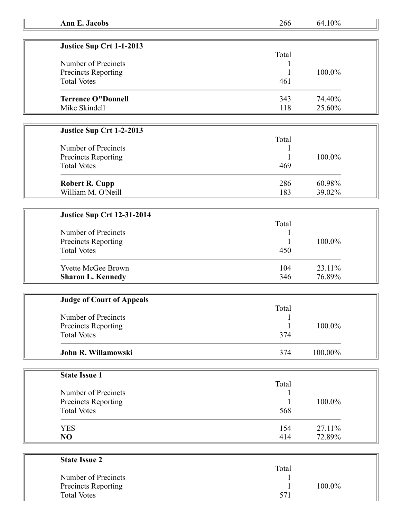| Ann E. Jacobs |  |  |  |  |
|---------------|--|--|--|--|
|---------------|--|--|--|--|

**Ann E. Jacobs** 266 64.10%

| Justice Sup Crt 1-1-2013  |       |           |
|---------------------------|-------|-----------|
|                           | Total |           |
| Number of Precincts       |       |           |
| Precincts Reporting       |       | $100.0\%$ |
| <b>Total Votes</b>        | 461   |           |
| <b>Terrence O"Donnell</b> | 343   | 74.40%    |
| Mike Skindell             | 118   | 25.60%    |

## **Justice Sup Crt 1-2-2013**

## **Justice Sup Crt 12-31-2014**

| Number of Precincts<br><b>Precincts Reporting</b><br><b>Total Votes</b> | Total<br>450 | 100.0% |
|-------------------------------------------------------------------------|--------------|--------|
| <b>Yvette McGee Brown</b>                                               | 104          | 23.11% |
| <b>Sharon L. Kennedy</b>                                                | 346          | 76.89% |

| <b>Judge of Court of Appeals</b> |       |            |  |
|----------------------------------|-------|------------|--|
|                                  | Total |            |  |
| Number of Precincts              |       |            |  |
| Precincts Reporting              |       | 100.0%     |  |
| <b>Total Votes</b>               | 374   |            |  |
| John R. Willamowski              | 374   | $100.00\%$ |  |

| <b>State Issue 1</b> |       |        |
|----------------------|-------|--------|
|                      | Total |        |
| Number of Precincts  |       |        |
| Precincts Reporting  |       | 100.0% |
| <b>Total Votes</b>   | 568   |        |
| <b>YES</b>           | 154   | 27.11% |
| NO                   | 414   | 72.89% |

| <b>State Issue 2</b>       |        |  |
|----------------------------|--------|--|
|                            | Total  |  |
| Number of Precincts        |        |  |
| <b>Precincts Reporting</b> | 100.0% |  |
| <b>Total Votes</b>         | 571    |  |